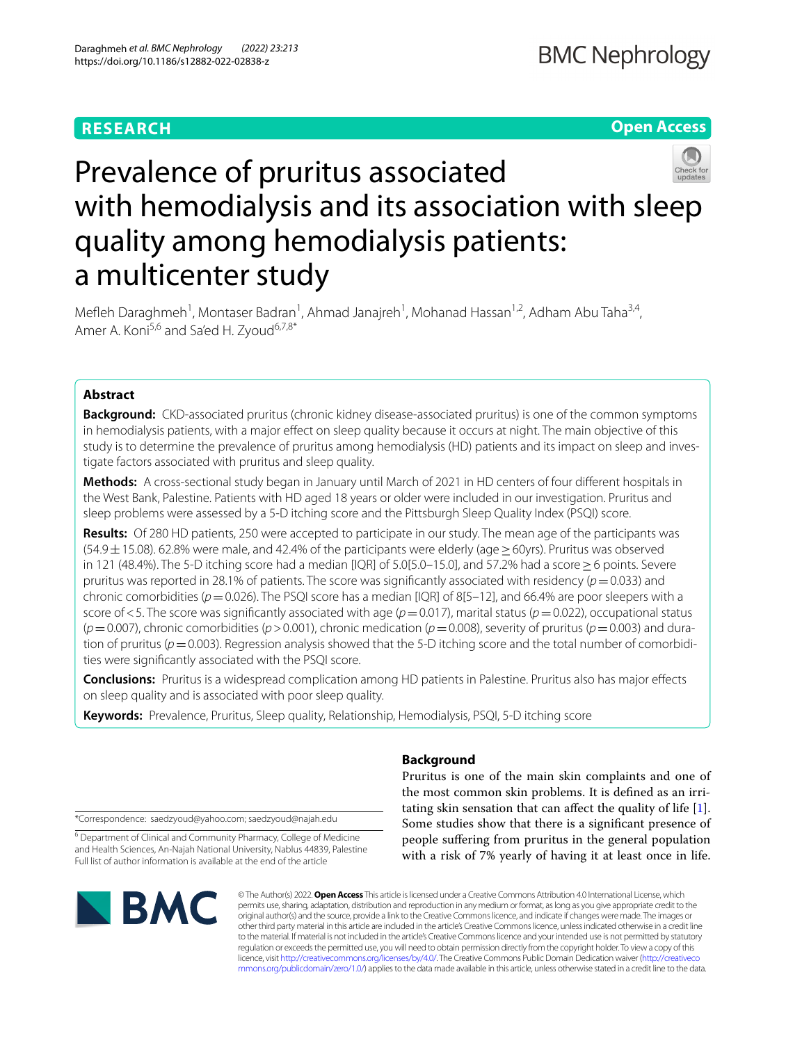# **RESEARCH**

# **Open Access**



# Prevalence of pruritus associated with hemodialysis and its association with sleep quality among hemodialysis patients: a multicenter study

Mefleh Daraghmeh<sup>1</sup>, Montaser Badran<sup>1</sup>, Ahmad Janajreh<sup>1</sup>, Mohanad Hassan<sup>1,2</sup>, Adham Abu Taha<sup>3,4</sup>, Amer A. Koni<sup>5,6</sup> and Sa'ed H. Zyoud<sup>6,7,8\*</sup>

## **Abstract**

**Background:** CKD-associated pruritus (chronic kidney disease-associated pruritus) is one of the common symptoms in hemodialysis patients, with a major efect on sleep quality because it occurs at night. The main objective of this study is to determine the prevalence of pruritus among hemodialysis (HD) patients and its impact on sleep and investigate factors associated with pruritus and sleep quality.

**Methods:** A cross-sectional study began in January until March of 2021 in HD centers of four diferent hospitals in the West Bank, Palestine. Patients with HD aged 18 years or older were included in our investigation. Pruritus and sleep problems were assessed by a 5-D itching score and the Pittsburgh Sleep Quality Index (PSQI) score.

**Results:** Of 280 HD patients, 250 were accepted to participate in our study. The mean age of the participants was  $(54.9 \pm 15.08)$ . 62.8% were male, and 42.4% of the participants were elderly (age > 60yrs). Pruritus was observed in 121 (48.4%). The 5-D itching score had a median [IQR] of 5.0[5.0–15.0], and 57.2% had a score≥6 points. Severe pruritus was reported in 28.1% of patients. The score was signifcantly associated with residency (*p*=0.033) and chronic comorbidities ( $p$  = 0.026). The PSQI score has a median [IQR] of 8[5–12], and 66.4% are poor sleepers with a score of <5. The score was significantly associated with age ( $p=0.017$ ), marital status ( $p=0.022$ ), occupational status  $(p=0.007)$ , chronic comorbidities ( $p > 0.001$ ), chronic medication ( $p=0.008$ ), severity of pruritus ( $p=0.003$ ) and duration of pruritus ( $p=0.003$ ). Regression analysis showed that the 5-D itching score and the total number of comorbidities were signifcantly associated with the PSQI score.

**Conclusions:** Pruritus is a widespread complication among HD patients in Palestine. Pruritus also has major efects on sleep quality and is associated with poor sleep quality.

**Keywords:** Prevalence, Pruritus, Sleep quality, Relationship, Hemodialysis, PSQI, 5-D itching score

\*Correspondence: saedzyoud@yahoo.com; saedzyoud@najah.edu

<sup>6</sup> Department of Clinical and Community Pharmacy, College of Medicine and Health Sciences, An-Najah National University, Nablus 44839, Palestine Full list of author information is available at the end of the article

# **BMC**

# **Background**

Pruritus is one of the main skin complaints and one of the most common skin problems. It is defned as an irritating skin sensation that can afect the quality of life [\[1](#page-6-0)]. Some studies show that there is a signifcant presence of people sufering from pruritus in the general population with a risk of 7% yearly of having it at least once in life.

© The Author(s) 2022. **Open Access** This article is licensed under a Creative Commons Attribution 4.0 International License, which permits use, sharing, adaptation, distribution and reproduction in any medium or format, as long as you give appropriate credit to the original author(s) and the source, provide a link to the Creative Commons licence, and indicate if changes were made. The images or other third party material in this article are included in the article's Creative Commons licence, unless indicated otherwise in a credit line to the material. If material is not included in the article's Creative Commons licence and your intended use is not permitted by statutory regulation or exceeds the permitted use, you will need to obtain permission directly from the copyright holder. To view a copy of this licence, visit [http://creativecommons.org/licenses/by/4.0/.](http://creativecommons.org/licenses/by/4.0/) The Creative Commons Public Domain Dedication waiver ([http://creativeco](http://creativecommons.org/publicdomain/zero/1.0/) [mmons.org/publicdomain/zero/1.0/](http://creativecommons.org/publicdomain/zero/1.0/)) applies to the data made available in this article, unless otherwise stated in a credit line to the data.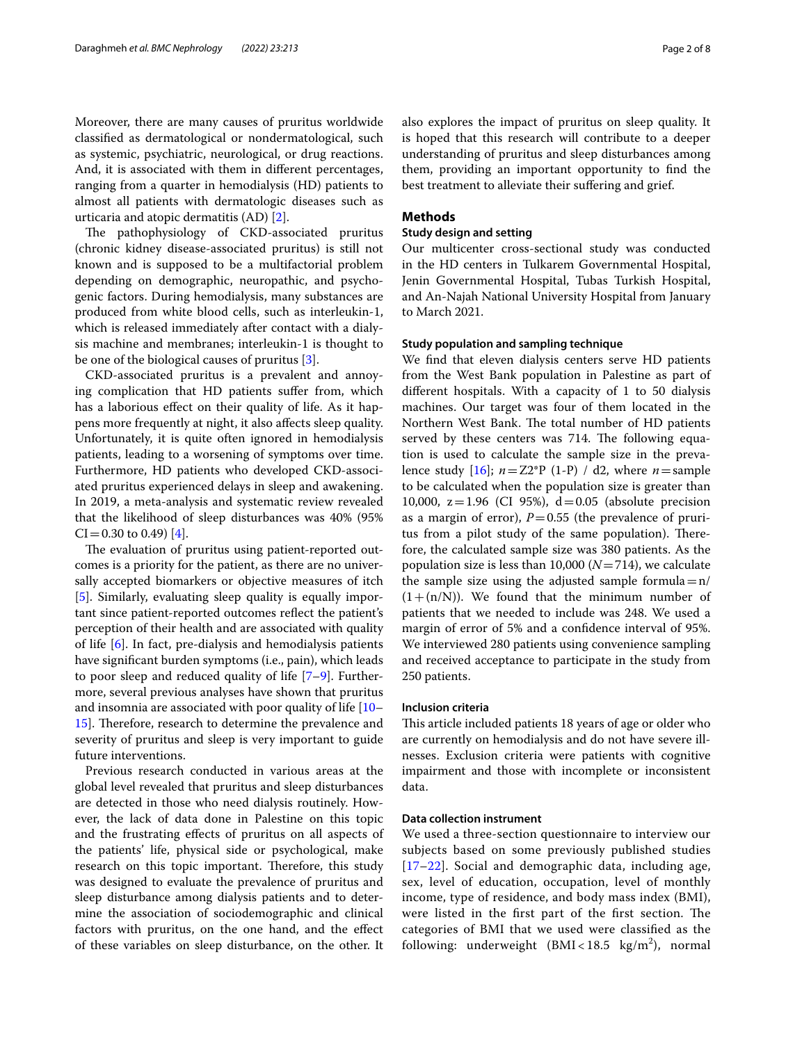Moreover, there are many causes of pruritus worldwide classifed as dermatological or nondermatological, such as systemic, psychiatric, neurological, or drug reactions. And, it is associated with them in diferent percentages, ranging from a quarter in hemodialysis (HD) patients to almost all patients with dermatologic diseases such as urticaria and atopic dermatitis (AD) [\[2\]](#page-6-1).

The pathophysiology of CKD-associated pruritus (chronic kidney disease-associated pruritus) is still not known and is supposed to be a multifactorial problem depending on demographic, neuropathic, and psychogenic factors. During hemodialysis, many substances are produced from white blood cells, such as interleukin-1, which is released immediately after contact with a dialysis machine and membranes; interleukin-1 is thought to be one of the biological causes of pruritus [[3\]](#page-6-2).

CKD-associated pruritus is a prevalent and annoying complication that HD patients sufer from, which has a laborious efect on their quality of life. As it happens more frequently at night, it also afects sleep quality. Unfortunately, it is quite often ignored in hemodialysis patients, leading to a worsening of symptoms over time. Furthermore, HD patients who developed CKD-associated pruritus experienced delays in sleep and awakening. In 2019, a meta-analysis and systematic review revealed that the likelihood of sleep disturbances was 40% (95%  $CI = 0.30$  to 0.49) [[4\]](#page-6-3).

The evaluation of pruritus using patient-reported outcomes is a priority for the patient, as there are no universally accepted biomarkers or objective measures of itch [[5\]](#page-6-4). Similarly, evaluating sleep quality is equally important since patient-reported outcomes refect the patient's perception of their health and are associated with quality of life [[6\]](#page-6-5). In fact, pre-dialysis and hemodialysis patients have signifcant burden symptoms (i.e., pain), which leads to poor sleep and reduced quality of life  $[7-9]$  $[7-9]$ . Furthermore, several previous analyses have shown that pruritus and insomnia are associated with poor quality of life [[10–](#page-6-8) [15\]](#page-7-0). Therefore, research to determine the prevalence and severity of pruritus and sleep is very important to guide future interventions.

Previous research conducted in various areas at the global level revealed that pruritus and sleep disturbances are detected in those who need dialysis routinely. However, the lack of data done in Palestine on this topic and the frustrating efects of pruritus on all aspects of the patients' life, physical side or psychological, make research on this topic important. Therefore, this study was designed to evaluate the prevalence of pruritus and sleep disturbance among dialysis patients and to determine the association of sociodemographic and clinical factors with pruritus, on the one hand, and the efect of these variables on sleep disturbance, on the other. It also explores the impact of pruritus on sleep quality. It is hoped that this research will contribute to a deeper understanding of pruritus and sleep disturbances among them, providing an important opportunity to fnd the best treatment to alleviate their sufering and grief.

#### **Methods**

#### **Study design and setting**

Our multicenter cross-sectional study was conducted in the HD centers in Tulkarem Governmental Hospital, Jenin Governmental Hospital, Tubas Turkish Hospital, and An-Najah National University Hospital from January to March 2021.

#### **Study population and sampling technique**

We fnd that eleven dialysis centers serve HD patients from the West Bank population in Palestine as part of diferent hospitals. With a capacity of 1 to 50 dialysis machines. Our target was four of them located in the Northern West Bank. The total number of HD patients served by these centers was 714. The following equation is used to calculate the sample size in the prevalence study  $[16]$  $[16]$ ;  $n=Z2*P(1-P)/d2$ , where  $n=$  sample to be calculated when the population size is greater than 10,000,  $z = 1.96$  (CI 95%),  $d = 0.05$  (absolute precision as a margin of error),  $P=0.55$  (the prevalence of pruritus from a pilot study of the same population). Therefore, the calculated sample size was 380 patients. As the population size is less than 10,000 (*N*=714), we calculate the sample size using the adjusted sample formula $=n/$  $(1+(n/N))$ . We found that the minimum number of patients that we needed to include was 248. We used a margin of error of 5% and a confdence interval of 95%. We interviewed 280 patients using convenience sampling and received acceptance to participate in the study from 250 patients.

#### **Inclusion criteria**

This article included patients 18 years of age or older who are currently on hemodialysis and do not have severe illnesses. Exclusion criteria were patients with cognitive impairment and those with incomplete or inconsistent data.

#### **Data collection instrument**

We used a three-section questionnaire to interview our subjects based on some previously published studies [[17](#page-7-2)[–22](#page-7-3)]. Social and demographic data, including age, sex, level of education, occupation, level of monthly income, type of residence, and body mass index (BMI), were listed in the first part of the first section. The categories of BMI that we used were classifed as the following: underweight  $(BMI < 18.5 \text{ kg/m}^2)$ , normal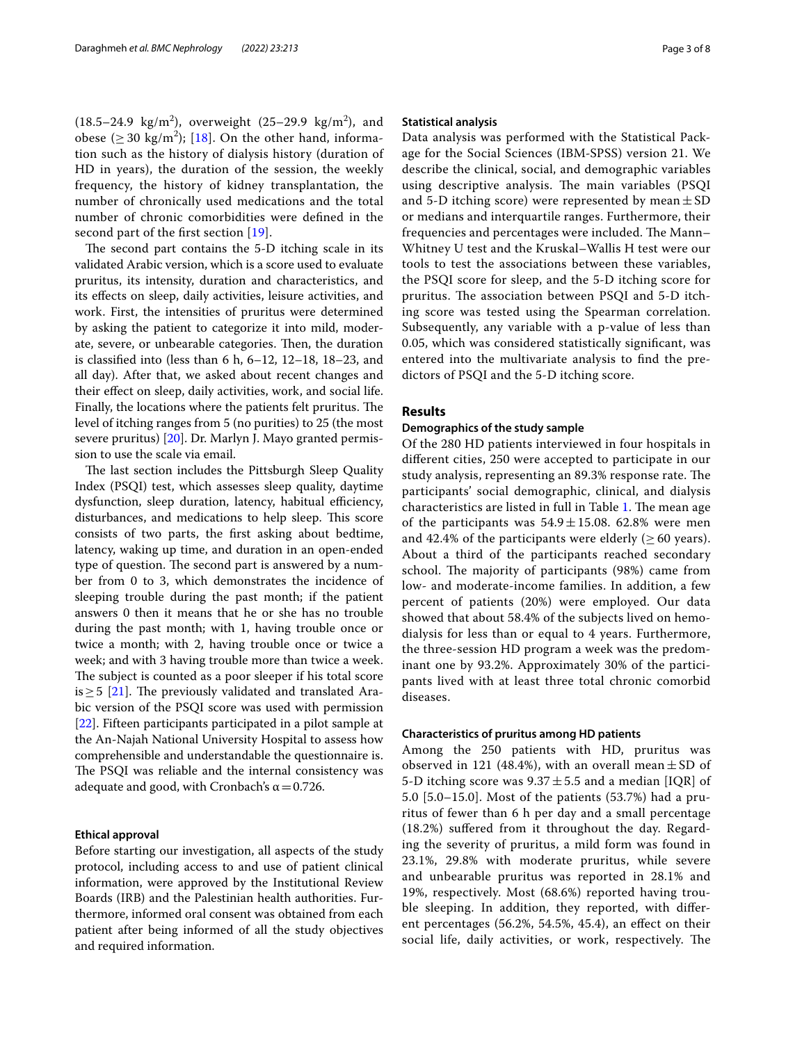$(18.5-24.9 \text{ kg/m}^2)$ , overweight  $(25-29.9 \text{ kg/m}^2)$ , and obese ( $\geq$  30 kg/m<sup>2</sup>); [[18\]](#page-7-4). On the other hand, information such as the history of dialysis history (duration of HD in years), the duration of the session, the weekly frequency, the history of kidney transplantation, the number of chronically used medications and the total number of chronic comorbidities were defned in the second part of the first section [[19\]](#page-7-5).

The second part contains the 5-D itching scale in its validated Arabic version, which is a score used to evaluate pruritus, its intensity, duration and characteristics, and its efects on sleep, daily activities, leisure activities, and work. First, the intensities of pruritus were determined by asking the patient to categorize it into mild, moderate, severe, or unbearable categories. Then, the duration is classifed into (less than 6 h, 6–12, 12–18, 18–23, and all day). After that, we asked about recent changes and their efect on sleep, daily activities, work, and social life. Finally, the locations where the patients felt pruritus. The level of itching ranges from 5 (no purities) to 25 (the most severe pruritus) [[20\]](#page-7-6). Dr. Marlyn J. Mayo granted permission to use the scale via email.

The last section includes the Pittsburgh Sleep Quality Index (PSQI) test, which assesses sleep quality, daytime dysfunction, sleep duration, latency, habitual efficiency, disturbances, and medications to help sleep. This score consists of two parts, the frst asking about bedtime, latency, waking up time, and duration in an open-ended type of question. The second part is answered by a number from 0 to 3, which demonstrates the incidence of sleeping trouble during the past month; if the patient answers 0 then it means that he or she has no trouble during the past month; with 1, having trouble once or twice a month; with 2, having trouble once or twice a week; and with 3 having trouble more than twice a week. The subject is counted as a poor sleeper if his total score is  $\geq$  5 [[21\]](#page-7-7). The previously validated and translated Arabic version of the PSQI score was used with permission [[22\]](#page-7-3). Fifteen participants participated in a pilot sample at the An-Najah National University Hospital to assess how comprehensible and understandable the questionnaire is. The PSQI was reliable and the internal consistency was adequate and good, with Cronbach's  $\alpha$  = 0.726.

#### **Ethical approval**

Before starting our investigation, all aspects of the study protocol, including access to and use of patient clinical information, were approved by the Institutional Review Boards (IRB) and the Palestinian health authorities. Furthermore, informed oral consent was obtained from each patient after being informed of all the study objectives and required information.

#### **Statistical analysis**

Data analysis was performed with the Statistical Package for the Social Sciences (IBM-SPSS) version 21. We describe the clinical, social, and demographic variables using descriptive analysis. The main variables (PSQI and 5-D itching score) were represented by mean  $\pm$  SD or medians and interquartile ranges. Furthermore, their frequencies and percentages were included. The Mann– Whitney U test and the Kruskal–Wallis H test were our tools to test the associations between these variables, the PSQI score for sleep, and the 5-D itching score for pruritus. The association between PSQI and 5-D itching score was tested using the Spearman correlation. Subsequently, any variable with a p-value of less than 0.05, which was considered statistically signifcant, was entered into the multivariate analysis to fnd the predictors of PSQI and the 5-D itching score.

#### **Results**

#### **Demographics of the study sample**

Of the 280 HD patients interviewed in four hospitals in diferent cities, 250 were accepted to participate in our study analysis, representing an 89.3% response rate. The participants' social demographic, clinical, and dialysis characteristics are listed in full in Table [1.](#page-3-0) The mean age of the participants was  $54.9 \pm 15.08$ . 62.8% were men and 42.4% of the participants were elderly ( $\geq 60$  years). About a third of the participants reached secondary school. The majority of participants (98%) came from low- and moderate-income families. In addition, a few percent of patients (20%) were employed. Our data showed that about 58.4% of the subjects lived on hemodialysis for less than or equal to 4 years. Furthermore, the three-session HD program a week was the predominant one by 93.2%. Approximately 30% of the participants lived with at least three total chronic comorbid diseases.

#### **Characteristics of pruritus among HD patients**

Among the 250 patients with HD, pruritus was observed in 121 (48.4%), with an overall mean  $\pm$  SD of 5-D itching score was  $9.37 \pm 5.5$  and a median [IQR] of 5.0 [5.0–15.0]. Most of the patients (53.7%) had a pruritus of fewer than 6 h per day and a small percentage (18.2%) sufered from it throughout the day. Regarding the severity of pruritus, a mild form was found in 23.1%, 29.8% with moderate pruritus, while severe and unbearable pruritus was reported in 28.1% and 19%, respectively. Most (68.6%) reported having trouble sleeping. In addition, they reported, with diferent percentages (56.2%, 54.5%, 45.4), an efect on their social life, daily activities, or work, respectively. The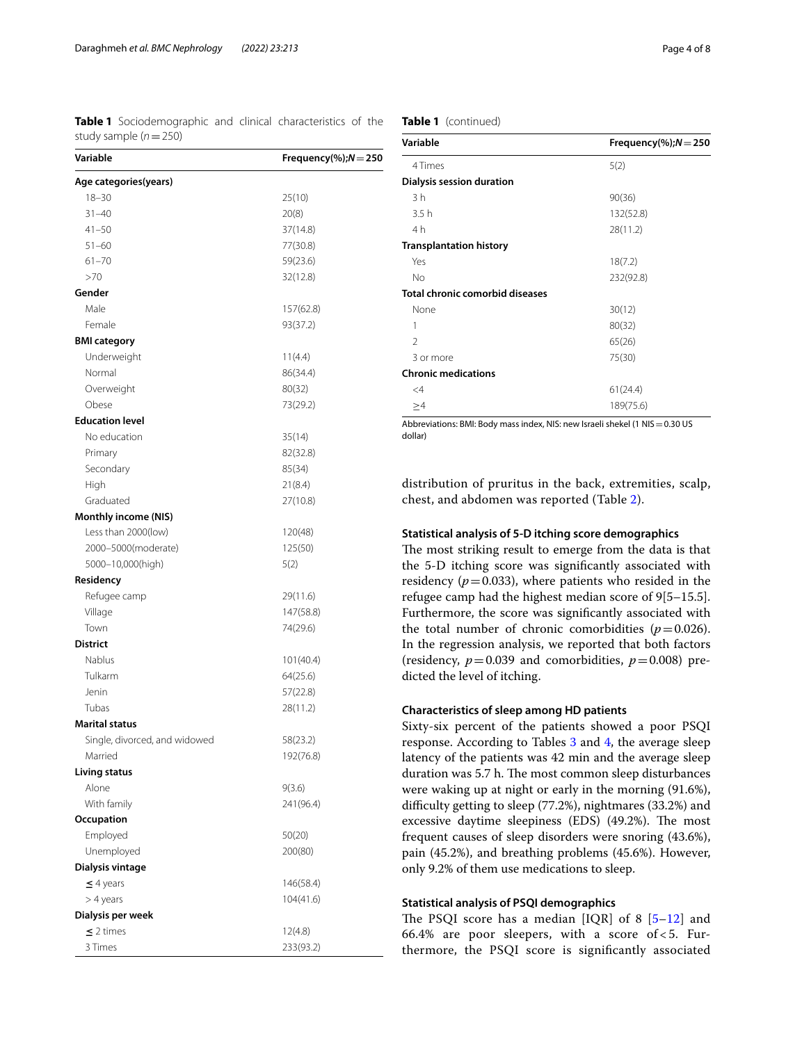<span id="page-3-0"></span>**Table 1** Sociodemographic and clinical characteristics of the study sample (*n*=250)

| Variable                      | Frequency(%); $N = 250$ |  |  |
|-------------------------------|-------------------------|--|--|
| Age categories(years)         |                         |  |  |
| $18 - 30$                     | 25(10)                  |  |  |
| $31 - 40$                     | 20(8)                   |  |  |
| $41 - 50$                     | 37(14.8)                |  |  |
| $51 - 60$                     | 77(30.8)                |  |  |
| $61 - 70$                     | 59(23.6)                |  |  |
| >70                           | 32(12.8)                |  |  |
| Gender                        |                         |  |  |
| Male                          | 157(62.8)               |  |  |
| Female                        | 93(37.2)                |  |  |
| <b>BMI category</b>           |                         |  |  |
| Underweight                   | 11(4.4)                 |  |  |
| Normal                        | 86(34.4)                |  |  |
| Overweight                    | 80(32)                  |  |  |
| Obese                         | 73(29.2)                |  |  |
| <b>Education level</b>        |                         |  |  |
| No education                  | 35(14)                  |  |  |
| Primary                       | 82(32.8)                |  |  |
| Secondary                     | 85(34)                  |  |  |
| High                          | 21(8.4)                 |  |  |
| Graduated                     | 27(10.8)                |  |  |
| <b>Monthly income (NIS)</b>   |                         |  |  |
| Less than 2000(low)           | 120(48)                 |  |  |
| 2000-5000(moderate)           | 125(50)                 |  |  |
| 5000-10,000(high)             | 5(2)                    |  |  |
| Residency                     |                         |  |  |
| Refugee camp                  | 29(11.6)                |  |  |
| Village                       | 147(58.8)               |  |  |
| Town                          | 74(29.6)                |  |  |
| <b>District</b>               |                         |  |  |
| Nablus                        | 101(40.4)               |  |  |
| Tulkarm                       | 64(25.6)                |  |  |
| Jenin                         | 57(22.8)                |  |  |
| Tubas                         | 28(11.2)                |  |  |
| <b>Marital status</b>         |                         |  |  |
| Single, divorced, and widowed | 58(23.2)                |  |  |
| Married                       | 192(76.8)               |  |  |
| <b>Living status</b>          |                         |  |  |
| Alone                         | 9(3.6)                  |  |  |
| With family                   | 241 (96.4)              |  |  |
| Occupation                    |                         |  |  |
| Employed                      | 50(20)                  |  |  |
| Unemployed                    | 200(80)                 |  |  |
| Dialysis vintage              |                         |  |  |
| $\leq$ 4 years                | 146(58.4)               |  |  |
| > 4 years                     | 104(41.6)               |  |  |
| Dialysis per week             |                         |  |  |
| $\leq$ 2 times                | 12(4.8)                 |  |  |
| 3 Times                       | 233(93.2)               |  |  |

#### **Table 1** (continued)

| Variable                        | Frequency(%); $N = 250$ |
|---------------------------------|-------------------------|
| 4 Times                         | 5(2)                    |
| Dialysis session duration       |                         |
| 3h                              | 90(36)                  |
| 3.5h                            | 132(52.8)               |
| 4 h                             | 28(11.2)                |
| <b>Transplantation history</b>  |                         |
| Yes                             | 18(7.2)                 |
| No                              | 232(92.8)               |
| Total chronic comorbid diseases |                         |
| None                            | 30(12)                  |
| 1                               | 80(32)                  |
| $\mathfrak{D}$                  | 65(26)                  |
| 3 or more                       | 75(30)                  |
| <b>Chronic medications</b>      |                         |
| $\leq$ 4                        | 61(24.4)                |
| >4                              | 189(75.6)               |

Abbreviations: BMI: Body mass index, NIS: new Israeli shekel (1 NIS=0.30 US dollar)

distribution of pruritus in the back, extremities, scalp, chest, and abdomen was reported (Table [2\)](#page-4-0).

#### **Statistical analysis of 5‑D itching score demographics**

The most striking result to emerge from the data is that the 5-D itching score was signifcantly associated with residency  $(p=0.033)$ , where patients who resided in the refugee camp had the highest median score of 9[5–15.5]. Furthermore, the score was signifcantly associated with the total number of chronic comorbidities  $(p=0.026)$ . In the regression analysis, we reported that both factors (residency,  $p = 0.039$  and comorbidities,  $p = 0.008$ ) predicted the level of itching.

#### **Characteristics of sleep among HD patients**

Sixty-six percent of the patients showed a poor PSQI response. According to Tables [3](#page-4-1) and [4](#page-5-0), the average sleep latency of the patients was 42 min and the average sleep duration was 5.7 h. The most common sleep disturbances were waking up at night or early in the morning (91.6%), difficulty getting to sleep (77.2%), nightmares (33.2%) and excessive daytime sleepiness (EDS) (49.2%). The most frequent causes of sleep disorders were snoring (43.6%), pain (45.2%), and breathing problems (45.6%). However, only 9.2% of them use medications to sleep.

#### **Statistical analysis of PSQI demographics**

The PSQI score has a median  $[IQR]$  of 8  $[5-12]$  $[5-12]$  and 66.4% are poor sleepers, with a score of  $<$  5. Furthermore, the PSQI score is signifcantly associated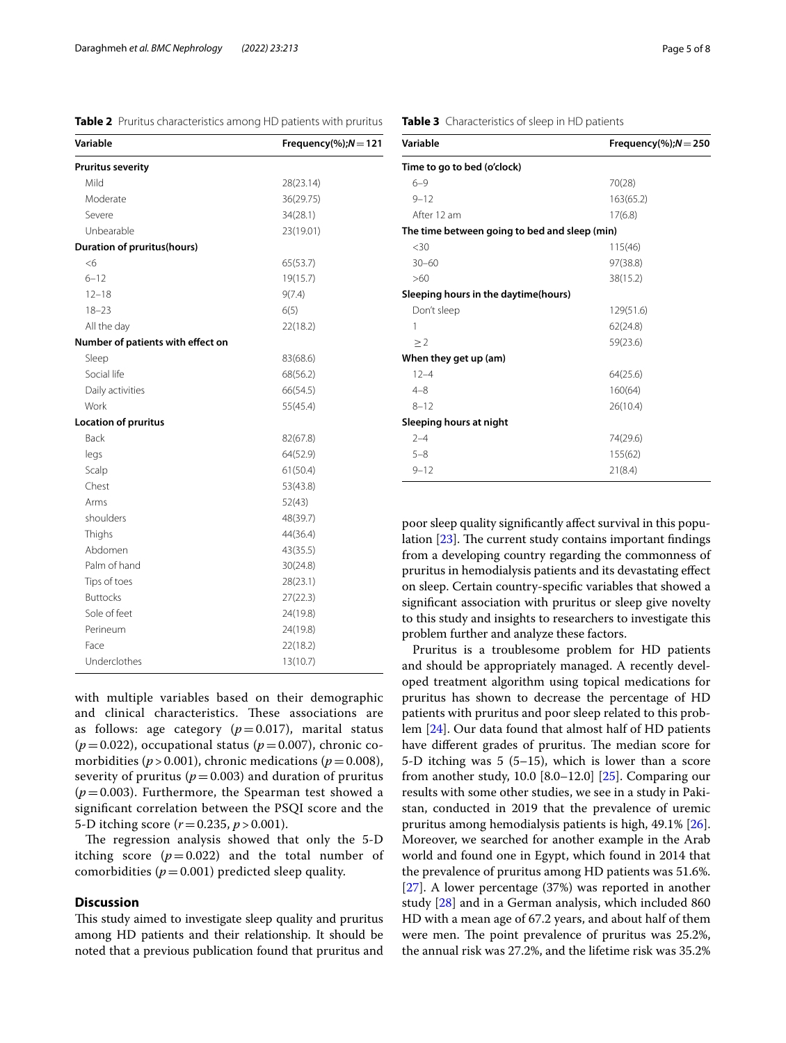<span id="page-4-0"></span>**Table 2** Pruritus characteristics among HD patients with pruritus

| <b>Pruritus severity</b><br>Mild<br>28(23.14)<br>Moderate<br>36(29.75)<br>Severe<br>34(28.1)<br>Unbearable<br>23(19.01)<br><b>Duration of pruritus(hours)</b><br><6<br>65(53.7)<br>$6 - 12$<br>19(15.7)<br>$12 - 18$<br>9(7.4)<br>$18 - 23$<br>6(5)<br>All the day<br>22(18.2)<br>Number of patients with effect on<br>Sleep<br>83(68.6)<br>Social life<br>68(56.2)<br>Daily activities<br>66(54.5)<br>Work<br>55(45.4)<br><b>Location of pruritus</b><br><b>Back</b><br>82(67.8)<br>legs<br>64(52.9)<br>Scalp<br>61(50.4)<br>Chest<br>53(43.8)<br>Arms<br>52(43)<br>shoulders<br>48(39.7)<br>Thighs<br>44(36.4)<br>Abdomen<br>43(35.5)<br>Palm of hand<br>30(24.8)<br>Tips of toes<br>28(23.1)<br><b>Buttocks</b><br>27(22.3)<br>Sole of feet<br>24(19.8)<br>Perineum<br>24(19.8)<br>Face<br>22(18.2)<br>Underclothes<br>13(10.7) | Variable | Frequency(%); $N = 121$ |  |  |
|------------------------------------------------------------------------------------------------------------------------------------------------------------------------------------------------------------------------------------------------------------------------------------------------------------------------------------------------------------------------------------------------------------------------------------------------------------------------------------------------------------------------------------------------------------------------------------------------------------------------------------------------------------------------------------------------------------------------------------------------------------------------------------------------------------------------------------|----------|-------------------------|--|--|
|                                                                                                                                                                                                                                                                                                                                                                                                                                                                                                                                                                                                                                                                                                                                                                                                                                    |          |                         |  |  |
|                                                                                                                                                                                                                                                                                                                                                                                                                                                                                                                                                                                                                                                                                                                                                                                                                                    |          |                         |  |  |
|                                                                                                                                                                                                                                                                                                                                                                                                                                                                                                                                                                                                                                                                                                                                                                                                                                    |          |                         |  |  |
|                                                                                                                                                                                                                                                                                                                                                                                                                                                                                                                                                                                                                                                                                                                                                                                                                                    |          |                         |  |  |
|                                                                                                                                                                                                                                                                                                                                                                                                                                                                                                                                                                                                                                                                                                                                                                                                                                    |          |                         |  |  |
|                                                                                                                                                                                                                                                                                                                                                                                                                                                                                                                                                                                                                                                                                                                                                                                                                                    |          |                         |  |  |
|                                                                                                                                                                                                                                                                                                                                                                                                                                                                                                                                                                                                                                                                                                                                                                                                                                    |          |                         |  |  |
|                                                                                                                                                                                                                                                                                                                                                                                                                                                                                                                                                                                                                                                                                                                                                                                                                                    |          |                         |  |  |
|                                                                                                                                                                                                                                                                                                                                                                                                                                                                                                                                                                                                                                                                                                                                                                                                                                    |          |                         |  |  |
|                                                                                                                                                                                                                                                                                                                                                                                                                                                                                                                                                                                                                                                                                                                                                                                                                                    |          |                         |  |  |
|                                                                                                                                                                                                                                                                                                                                                                                                                                                                                                                                                                                                                                                                                                                                                                                                                                    |          |                         |  |  |
|                                                                                                                                                                                                                                                                                                                                                                                                                                                                                                                                                                                                                                                                                                                                                                                                                                    |          |                         |  |  |
|                                                                                                                                                                                                                                                                                                                                                                                                                                                                                                                                                                                                                                                                                                                                                                                                                                    |          |                         |  |  |
|                                                                                                                                                                                                                                                                                                                                                                                                                                                                                                                                                                                                                                                                                                                                                                                                                                    |          |                         |  |  |
|                                                                                                                                                                                                                                                                                                                                                                                                                                                                                                                                                                                                                                                                                                                                                                                                                                    |          |                         |  |  |
|                                                                                                                                                                                                                                                                                                                                                                                                                                                                                                                                                                                                                                                                                                                                                                                                                                    |          |                         |  |  |
|                                                                                                                                                                                                                                                                                                                                                                                                                                                                                                                                                                                                                                                                                                                                                                                                                                    |          |                         |  |  |
|                                                                                                                                                                                                                                                                                                                                                                                                                                                                                                                                                                                                                                                                                                                                                                                                                                    |          |                         |  |  |
|                                                                                                                                                                                                                                                                                                                                                                                                                                                                                                                                                                                                                                                                                                                                                                                                                                    |          |                         |  |  |
|                                                                                                                                                                                                                                                                                                                                                                                                                                                                                                                                                                                                                                                                                                                                                                                                                                    |          |                         |  |  |
|                                                                                                                                                                                                                                                                                                                                                                                                                                                                                                                                                                                                                                                                                                                                                                                                                                    |          |                         |  |  |
|                                                                                                                                                                                                                                                                                                                                                                                                                                                                                                                                                                                                                                                                                                                                                                                                                                    |          |                         |  |  |
|                                                                                                                                                                                                                                                                                                                                                                                                                                                                                                                                                                                                                                                                                                                                                                                                                                    |          |                         |  |  |
|                                                                                                                                                                                                                                                                                                                                                                                                                                                                                                                                                                                                                                                                                                                                                                                                                                    |          |                         |  |  |
|                                                                                                                                                                                                                                                                                                                                                                                                                                                                                                                                                                                                                                                                                                                                                                                                                                    |          |                         |  |  |
|                                                                                                                                                                                                                                                                                                                                                                                                                                                                                                                                                                                                                                                                                                                                                                                                                                    |          |                         |  |  |
|                                                                                                                                                                                                                                                                                                                                                                                                                                                                                                                                                                                                                                                                                                                                                                                                                                    |          |                         |  |  |
|                                                                                                                                                                                                                                                                                                                                                                                                                                                                                                                                                                                                                                                                                                                                                                                                                                    |          |                         |  |  |
|                                                                                                                                                                                                                                                                                                                                                                                                                                                                                                                                                                                                                                                                                                                                                                                                                                    |          |                         |  |  |
|                                                                                                                                                                                                                                                                                                                                                                                                                                                                                                                                                                                                                                                                                                                                                                                                                                    |          |                         |  |  |
|                                                                                                                                                                                                                                                                                                                                                                                                                                                                                                                                                                                                                                                                                                                                                                                                                                    |          |                         |  |  |
|                                                                                                                                                                                                                                                                                                                                                                                                                                                                                                                                                                                                                                                                                                                                                                                                                                    |          |                         |  |  |

with multiple variables based on their demographic and clinical characteristics. These associations are as follows: age category  $(p=0.017)$ , marital status  $(p=0.022)$ , occupational status  $(p=0.007)$ , chronic comorbidities ( $p > 0.001$ ), chronic medications ( $p = 0.008$ ), severity of pruritus ( $p=0.003$ ) and duration of pruritus  $(p=0.003)$ . Furthermore, the Spearman test showed a signifcant correlation between the PSQI score and the 5-D itching score (*r*=0.235, *p* > 0.001).

The regression analysis showed that only the 5-D itching score  $(p=0.022)$  and the total number of comorbidities ( $p=0.001$ ) predicted sleep quality.

#### **Discussion**

This study aimed to investigate sleep quality and pruritus among HD patients and their relationship. It should be noted that a previous publication found that pruritus and

| Variable                                      | Frequency(%); $N = 250$ |
|-----------------------------------------------|-------------------------|
| Time to go to bed (o'clock)                   |                         |
| $6 - 9$                                       | 70(28)                  |
| $9 - 12$                                      | 163(65.2)               |
| After 12 am                                   | 17(6.8)                 |
| The time between going to bed and sleep (min) |                         |
| $<$ 30                                        | 115(46)                 |
| $30 - 60$                                     | 97(38.8)                |
| >60                                           | 38(15.2)                |
| Sleeping hours in the daytime(hours)          |                         |
| Don't sleep                                   | 129(51.6)               |
| 1                                             | 62(24.8)                |
| $\geq$ 2                                      | 59(23.6)                |
| When they get up (am)                         |                         |
| $12 - 4$                                      | 64(25.6)                |
| $4 - 8$                                       | 160(64)                 |
| $8 - 12$                                      | 26(10.4)                |
| Sleeping hours at night                       |                         |
| $2 - 4$                                       | 74(29.6)                |
| $5 - 8$                                       | 155(62)                 |
| $9 - 12$                                      | 21(8.4)                 |

poor sleep quality signifcantly afect survival in this population  $[23]$  $[23]$  $[23]$ . The current study contains important findings from a developing country regarding the commonness of pruritus in hemodialysis patients and its devastating efect on sleep. Certain country-specifc variables that showed a signifcant association with pruritus or sleep give novelty to this study and insights to researchers to investigate this problem further and analyze these factors.

Pruritus is a troublesome problem for HD patients and should be appropriately managed. A recently developed treatment algorithm using topical medications for pruritus has shown to decrease the percentage of HD patients with pruritus and poor sleep related to this problem [[24\]](#page-7-9). Our data found that almost half of HD patients have different grades of pruritus. The median score for 5-D itching was 5 (5–15), which is lower than a score from another study, 10.0  $[8.0-12.0]$   $[25]$  $[25]$ . Comparing our results with some other studies, we see in a study in Pakistan, conducted in 2019 that the prevalence of uremic pruritus among hemodialysis patients is high, 49.1% [\[26](#page-7-11)]. Moreover, we searched for another example in the Arab world and found one in Egypt, which found in 2014 that the prevalence of pruritus among HD patients was 51.6%. [[27\]](#page-7-12). A lower percentage (37%) was reported in another study [[28\]](#page-7-13) and in a German analysis, which included 860 HD with a mean age of 67.2 years, and about half of them were men. The point prevalence of pruritus was 25.2%, the annual risk was 27.2%, and the lifetime risk was 35.2%

#### <span id="page-4-1"></span>**Table 3** Characteristics of sleep in HD patients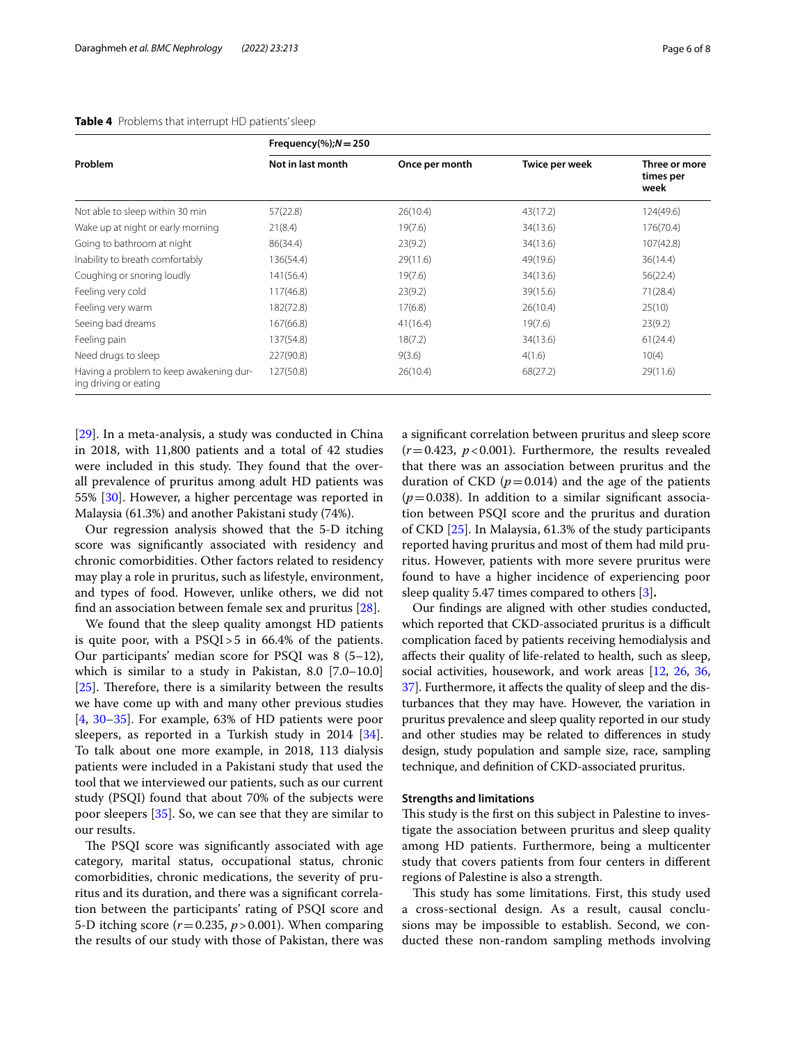| Problem                                                          | Frequency(%); $N = 250$ |                |                |                                    |
|------------------------------------------------------------------|-------------------------|----------------|----------------|------------------------------------|
|                                                                  | Not in last month       | Once per month | Twice per week | Three or more<br>times per<br>week |
| Not able to sleep within 30 min                                  | 57(22.8)                | 26(10.4)       | 43(17.2)       | 124(49.6)                          |
| Wake up at night or early morning                                | 21(8.4)                 | 19(7.6)        | 34(13.6)       | 176(70.4)                          |
| Going to bathroom at night                                       | 86(34.4)                | 23(9.2)        | 34(13.6)       | 107(42.8)                          |
| Inability to breath comfortably                                  | 136(54.4)               | 29(11.6)       | 49(19.6)       | 36(14.4)                           |
| Coughing or snoring loudly                                       | 141(56.4)               | 19(7.6)        | 34(13.6)       | 56(22.4)                           |
| Feeling very cold                                                | 117(46.8)               | 23(9.2)        | 39(15.6)       | 71(28.4)                           |
| Feeling very warm                                                | 182(72.8)               | 17(6.8)        | 26(10.4)       | 25(10)                             |
| Seeing bad dreams                                                | 167(66.8)               | 41(16.4)       | 19(7.6)        | 23(9.2)                            |
| Feeling pain                                                     | 137(54.8)               | 18(7.2)        | 34(13.6)       | 61(24.4)                           |
| Need drugs to sleep                                              | 227(90.8)               | 9(3.6)         | 4(1.6)         | 10(4)                              |
| Having a problem to keep awakening dur-<br>ing driving or eating | 127(50.8)               | 26(10.4)       | 68(27.2)       | 29(11.6)                           |

#### <span id="page-5-0"></span>**Table 4** Problems that interrupt HD patients' sleep

[[29\]](#page-7-14). In a meta-analysis, a study was conducted in China in 2018, with 11,800 patients and a total of 42 studies were included in this study. They found that the overall prevalence of pruritus among adult HD patients was 55% [[30\]](#page-7-15). However, a higher percentage was reported in Malaysia (61.3%) and another Pakistani study (74%).

Our regression analysis showed that the 5-D itching score was signifcantly associated with residency and chronic comorbidities. Other factors related to residency may play a role in pruritus, such as lifestyle, environment, and types of food. However, unlike others, we did not fnd an association between female sex and pruritus [[28\]](#page-7-13).

We found that the sleep quality amongst HD patients is quite poor, with a PSQI>5 in 66.4% of the patients. Our participants' median score for PSQI was 8 (5–12), which is similar to a study in Pakistan, 8.0 [7.0–10.0]  $[25]$  $[25]$ . Therefore, there is a similarity between the results we have come up with and many other previous studies [[4,](#page-6-3) [30](#page-7-15)[–35](#page-7-16)]. For example, 63% of HD patients were poor sleepers, as reported in a Turkish study in 2014 [\[34](#page-7-17)]. To talk about one more example, in 2018, 113 dialysis patients were included in a Pakistani study that used the tool that we interviewed our patients, such as our current study (PSQI) found that about 70% of the subjects were poor sleepers [[35](#page-7-16)]. So, we can see that they are similar to our results.

The PSQI score was significantly associated with age category, marital status, occupational status, chronic comorbidities, chronic medications, the severity of pruritus and its duration, and there was a signifcant correlation between the participants' rating of PSQI score and 5-D itching score (*r*=0.235, *p*>0.001). When comparing the results of our study with those of Pakistan, there was a signifcant correlation between pruritus and sleep score  $(r=0.423, p<0.001)$ . Furthermore, the results revealed that there was an association between pruritus and the duration of CKD  $(p=0.014)$  and the age of the patients  $(p=0.038)$ . In addition to a similar significant association between PSQI score and the pruritus and duration of CKD [\[25\]](#page-7-10). In Malaysia, 61.3% of the study participants reported having pruritus and most of them had mild pruritus. However, patients with more severe pruritus were found to have a higher incidence of experiencing poor sleep quality 5.47 times compared to others [\[3](#page-6-2)]**.**

Our fndings are aligned with other studies conducted, which reported that CKD-associated pruritus is a difficult complication faced by patients receiving hemodialysis and afects their quality of life-related to health, such as sleep, social activities, housework, and work areas [\[12,](#page-6-9) [26,](#page-7-11) [36](#page-7-18), [37](#page-7-19)]. Furthermore, it afects the quality of sleep and the disturbances that they may have. However, the variation in pruritus prevalence and sleep quality reported in our study and other studies may be related to diferences in study design, study population and sample size, race, sampling technique, and defnition of CKD-associated pruritus.

#### **Strengths and limitations**

This study is the first on this subject in Palestine to investigate the association between pruritus and sleep quality among HD patients. Furthermore, being a multicenter study that covers patients from four centers in diferent regions of Palestine is also a strength.

This study has some limitations. First, this study used a cross-sectional design. As a result, causal conclusions may be impossible to establish. Second, we conducted these non-random sampling methods involving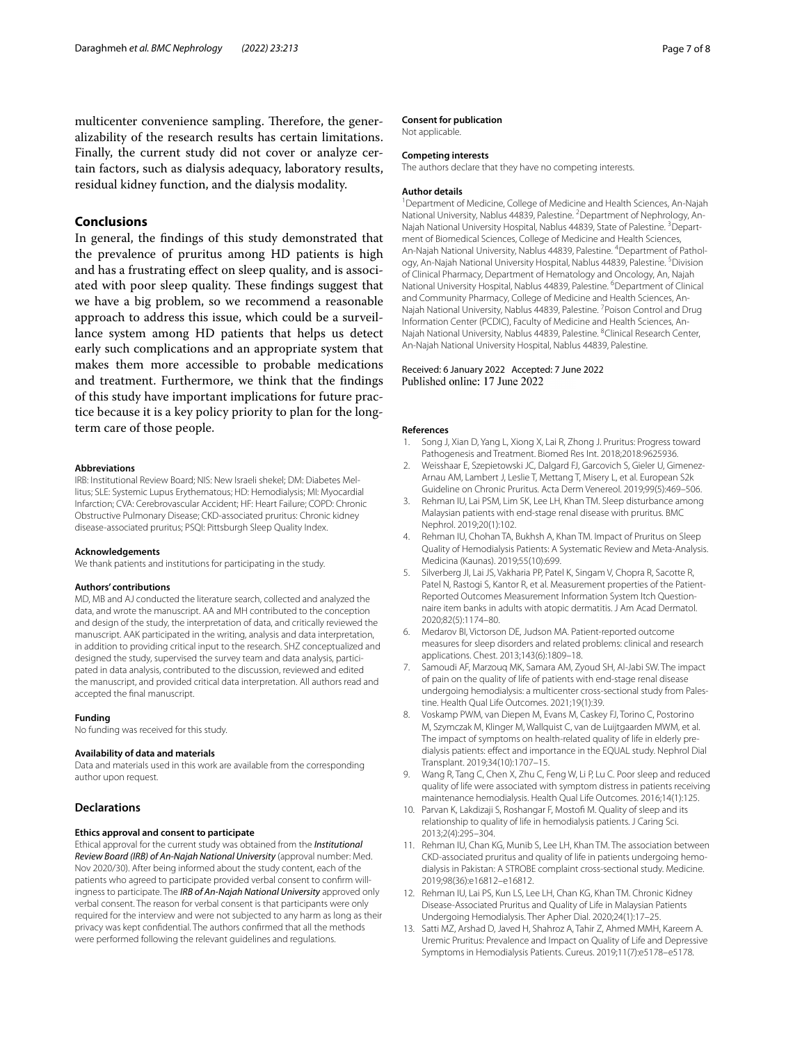multicenter convenience sampling. Therefore, the generalizability of the research results has certain limitations. Finally, the current study did not cover or analyze certain factors, such as dialysis adequacy, laboratory results, residual kidney function, and the dialysis modality.

#### **Conclusions**

In general, the fndings of this study demonstrated that the prevalence of pruritus among HD patients is high and has a frustrating efect on sleep quality, and is associated with poor sleep quality. These findings suggest that we have a big problem, so we recommend a reasonable approach to address this issue, which could be a surveillance system among HD patients that helps us detect early such complications and an appropriate system that makes them more accessible to probable medications and treatment. Furthermore, we think that the fndings of this study have important implications for future practice because it is a key policy priority to plan for the longterm care of those people.

#### **Abbreviations**

IRB: Institutional Review Board; NIS: New Israeli shekel; DM: Diabetes Mellitus; SLE: Systemic Lupus Erythematous; HD: Hemodialysis; MI: Myocardial Infarction; CVA: Cerebrovascular Accident; HF: Heart Failure; COPD: Chronic Obstructive Pulmonary Disease; CKD-associated pruritus: Chronic kidney disease-associated pruritus; PSQI: Pittsburgh Sleep Quality Index.

#### **Acknowledgements**

We thank patients and institutions for participating in the study.

#### **Authors' contributions**

MD, MB and AJ conducted the literature search, collected and analyzed the data, and wrote the manuscript. AA and MH contributed to the conception and design of the study, the interpretation of data, and critically reviewed the manuscript. AAK participated in the writing, analysis and data interpretation, in addition to providing critical input to the research. SHZ conceptualized and designed the study, supervised the survey team and data analysis, participated in data analysis, contributed to the discussion, reviewed and edited the manuscript, and provided critical data interpretation. All authors read and accepted the fnal manuscript.

#### **Funding**

No funding was received for this study.

#### **Availability of data and materials**

Data and materials used in this work are available from the corresponding author upon request.

#### **Declarations**

#### **Ethics approval and consent to participate**

Ethical approval for the current study was obtained from the *Institutional Review Board (IRB) of An-Najah National University* (approval number: Med. Nov 2020/30). After being informed about the study content, each of the patients who agreed to participate provided verbal consent to confrm willingness to participate. The *IRB of An-Najah National University* approved only verbal consent. The reason for verbal consent is that participants were only required for the interview and were not subjected to any harm as long as their privacy was kept confdential. The authors confrmed that all the methods were performed following the relevant guidelines and regulations.

#### **Consent for publication**

Not applicable.

#### **Competing interests**

The authors declare that they have no competing interests.

#### **Author details**

<sup>1</sup> Department of Medicine, College of Medicine and Health Sciences, An-Najah National University, Nablus 44839, Palestine. <sup>2</sup> Department of Nephrology, An-Najah National University Hospital, Nablus 44839, State of Palestine. <sup>3</sup> Department of Biomedical Sciences, College of Medicine and Health Sciences, An-Najah National University, Nablus 44839, Palestine. <sup>4</sup>Department of Pathology, An-Najah National University Hospital, Nablus 44839, Palestine. <sup>5</sup> Division of Clinical Pharmacy, Department of Hematology and Oncology, An, Najah National University Hospital, Nablus 44839, Palestine. <sup>6</sup> Department of Clinical and Community Pharmacy, College of Medicine and Health Sciences, An-Najah National University, Nablus 44839, Palestine. <sup>7</sup> Poison Control and Drug Information Center (PCDIC), Faculty of Medicine and Health Sciences, An-Najah National University, Nablus 44839, Palestine. <sup>8</sup>Clinical Research Center, An-Najah National University Hospital, Nablus 44839, Palestine.

#### Received: 6 January 2022 Accepted: 7 June 2022 Published online: 17 June 2022

#### **References**

- <span id="page-6-0"></span>1. Song J, Xian D, Yang L, Xiong X, Lai R, Zhong J. Pruritus: Progress toward Pathogenesis and Treatment. Biomed Res Int. 2018;2018:9625936.
- <span id="page-6-1"></span>2. Weisshaar E, Szepietowski JC, Dalgard FJ, Garcovich S, Gieler U, Gimenez-Arnau AM, Lambert J, Leslie T, Mettang T, Misery L, et al. European S2k Guideline on Chronic Pruritus. Acta Derm Venereol. 2019;99(5):469–506.
- <span id="page-6-2"></span>3. Rehman IU, Lai PSM, Lim SK, Lee LH, Khan TM. Sleep disturbance among Malaysian patients with end-stage renal disease with pruritus. BMC Nephrol. 2019;20(1):102.
- <span id="page-6-3"></span>4. Rehman IU, Chohan TA, Bukhsh A, Khan TM. Impact of Pruritus on Sleep Quality of Hemodialysis Patients: A Systematic Review and Meta-Analysis. Medicina (Kaunas). 2019;55(10):699.
- <span id="page-6-4"></span>5. Silverberg JI, Lai JS, Vakharia PP, Patel K, Singam V, Chopra R, Sacotte R, Patel N, Rastogi S, Kantor R, et al. Measurement properties of the Patient-Reported Outcomes Measurement Information System Itch Questionnaire item banks in adults with atopic dermatitis. J Am Acad Dermatol. 2020;82(5):1174–80.
- <span id="page-6-5"></span>6. Medarov BI, Victorson DE, Judson MA. Patient-reported outcome measures for sleep disorders and related problems: clinical and research applications. Chest. 2013;143(6):1809–18.
- <span id="page-6-6"></span>7. Samoudi AF, Marzouq MK, Samara AM, Zyoud SH, Al-Jabi SW. The impact of pain on the quality of life of patients with end-stage renal disease undergoing hemodialysis: a multicenter cross-sectional study from Palestine. Health Qual Life Outcomes. 2021;19(1):39.
- 8. Voskamp PWM, van Diepen M, Evans M, Caskey FJ, Torino C, Postorino M, Szymczak M, Klinger M, Wallquist C, van de Luijtgaarden MWM, et al. The impact of symptoms on health-related quality of life in elderly predialysis patients: efect and importance in the EQUAL study. Nephrol Dial Transplant. 2019;34(10):1707–15.
- <span id="page-6-7"></span>9. Wang R, Tang C, Chen X, Zhu C, Feng W, Li P, Lu C. Poor sleep and reduced quality of life were associated with symptom distress in patients receiving maintenance hemodialysis. Health Qual Life Outcomes. 2016;14(1):125.
- <span id="page-6-8"></span>10. Parvan K, Lakdizaji S, Roshangar F, Mostof M. Quality of sleep and its relationship to quality of life in hemodialysis patients. J Caring Sci. 2013;2(4):295–304.
- 11. Rehman IU, Chan KG, Munib S, Lee LH, Khan TM. The association between CKD-associated pruritus and quality of life in patients undergoing hemodialysis in Pakistan: A STROBE complaint cross-sectional study. Medicine. 2019;98(36):e16812–e16812.
- <span id="page-6-9"></span>12. Rehman IU, Lai PS, Kun LS, Lee LH, Chan KG, Khan TM. Chronic Kidney Disease-Associated Pruritus and Quality of Life in Malaysian Patients Undergoing Hemodialysis. Ther Apher Dial. 2020;24(1):17–25.
- 13. Satti MZ, Arshad D, Javed H, Shahroz A, Tahir Z, Ahmed MMH, Kareem A. Uremic Pruritus: Prevalence and Impact on Quality of Life and Depressive Symptoms in Hemodialysis Patients. Cureus. 2019;11(7):e5178–e5178.